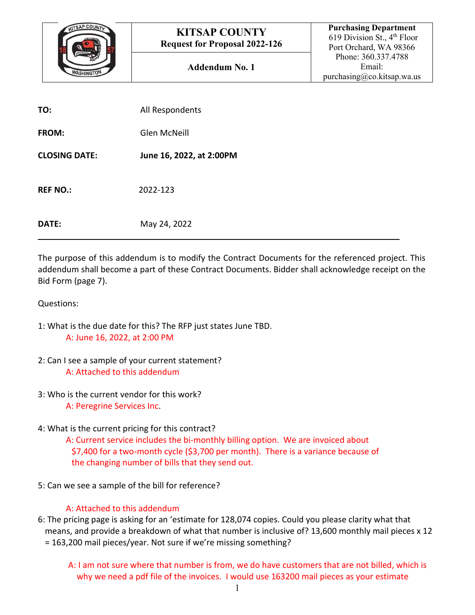

| TO:                  | All Respondents          |
|----------------------|--------------------------|
| <b>FROM:</b>         | Glen McNeill             |
| <b>CLOSING DATE:</b> | June 16, 2022, at 2:00PM |
| <b>REF NO.:</b>      | 2022-123                 |
| DATE:                | May 25, 2022             |

The purpose of this addendum is to modify the Contract Documents for the referenced project. This addendum shall become a part of these Contract Documents. Bidder shall acknowledge receipt on the Bid Form (page 7).

Questions:

- 1: What is the due date for this? The RFP just states June TBD. A: June 16, 2022, at 2:00 PM
- 2: Can I see a sample of your current statement? A: Attached to this addendum
- 3: Who is the current vendor for this work? A: Peregrine Services Inc.
- 4: What is the current pricing for this contract?

A: Current service includes the bi-monthly billing option. We are invoiced about \$7,400 for a two-month cycle (\$3,700 per month). There is a variance because of the changing number of bills that they send out.

5: Can we see a sample of the bill for reference?

## A: Attached to this addendum

6: The pricing page is asking for an 'estimate for 128,074 copies. Could you please clarity what that means, and provide a breakdown of what that number is inclusive of? 13,600 monthly mail pieces x 12 = 163,200 mail pieces/year. Not sure if we're missing something?

A: I am not sure where that number is from, we do have customers that are not billed, which is why we need a pdf file of the invoices. I would use 163200 mail pieces as your estimate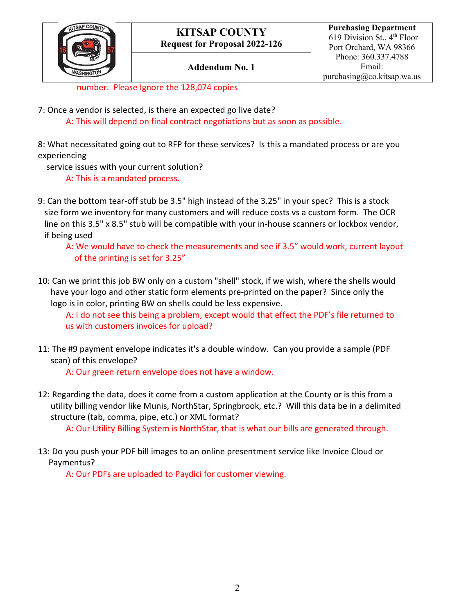

## **Addendum No. 1**

number. Please Ignore the 128,074 copies

7: Once a vendor is selected, is there an expected go live date?

A: This will depend on final contract negotiations but as soon as possible.

8: What necessitated going out to RFP for these services? Is this a mandated process or are you experiencing

service issues with your current solution?

A: This is a mandated process.

9: Can the bottom tear-off stub be 3.5" high instead of the 3.25" in your spec? This is a stock size form we inventory for many customers and will reduce costs vs a custom form. The OCR line on this 3.5" x 8.5" stub will be compatible with your in-house scanners or lockbox vendor, if being used

A: We would have to check the measurements and see if 3.5" would work, current layout of the printing is set for 3.25"

10: Can we print this job BW only on a custom "shell" stock, if we wish, where the shells would have your logo and other static form elements pre-printed on the paper? Since only the logo is in color, printing BW on shells could be less expensive.

A: I do not see this being a problem, except would that effect the PDF's file returned to us with customers invoices for upload?

11: The #9 payment envelope indicates it's a double window. Can you provide a sample (PDF scan) of this envelope?

A: Our green return envelope does not have a window.

12: Regarding the data, does it come from a custom application at the County or is this from a utility billing vendor like Munis, NorthStar, Springbrook, etc.? Will this data be in a delimited structure (tab, comma, pipe, etc.) or XML format?

A: Our Utility Billing System is NorthStar, that is what our bills are generated through.

13: Do you push your PDF bill images to an online presentment service like Invoice Cloud or Paymentus?

A: Our PDFs are uploaded to Paydici for customer viewing.